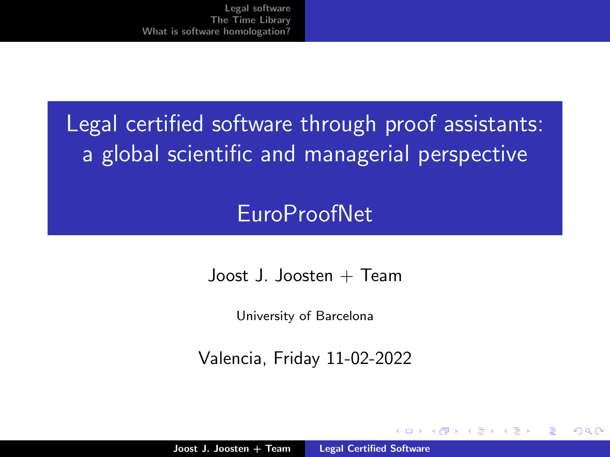# <span id="page-0-0"></span>Legal certified software through proof assistants: a global scientific and managerial perspective

## **EuroProofNet**

 $J$ oost J. Joosten + Team

University of Barcelona

Valencia, Friday 11-02-2022

へのへ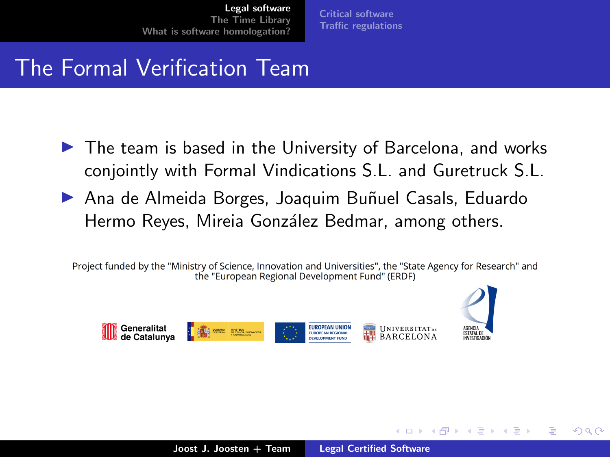[Critical software](#page-2-0) [Traffic regulations](#page-9-0)

## <span id="page-1-0"></span>The Formal Verification Team

- ▶ The team is based in the University of Barcelona, and works conjointly with Formal Vindications S.L. and Guretruck S.L.
- ▶ Ana de Almeida Borges, Joaquim Buñuel Casals, Eduardo Hermo Reyes, Mireia González Bedmar, among others.

Project funded by the "Ministry of Science, Innovation and Universities", the "State Agency for Research" and the "European Regional Development Fund" (ERDF)



a miller

へのへ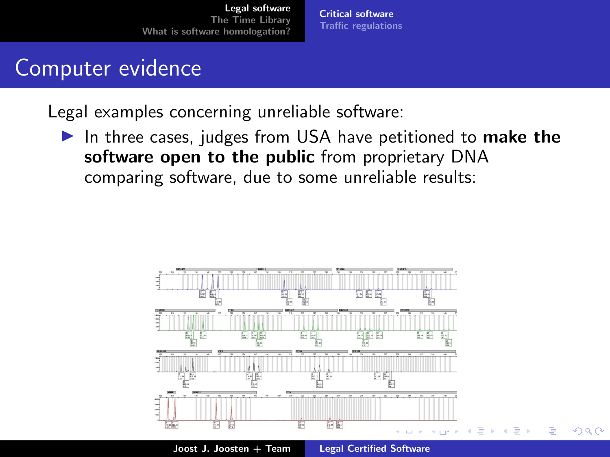[Critical software](#page-5-0) [Traffic regulations](#page-9-0)

### <span id="page-2-0"></span>Computer evidence

Legal examples concerning unreliable software:

▶ In three cases, judges from USA have petitioned to make the software open to the public from proprietary DNA comparing software, due to some unreliable results:

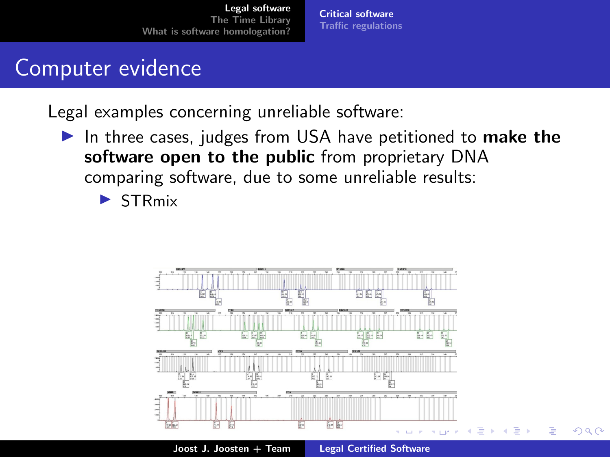[Critical software](#page-5-0) [Traffic regulations](#page-9-0)

## Computer evidence

Legal examples concerning unreliable software:

▶ In three cases, judges from USA have petitioned to make the software open to the public from proprietary DNA comparing software, due to some unreliable results:

▶ STRmix

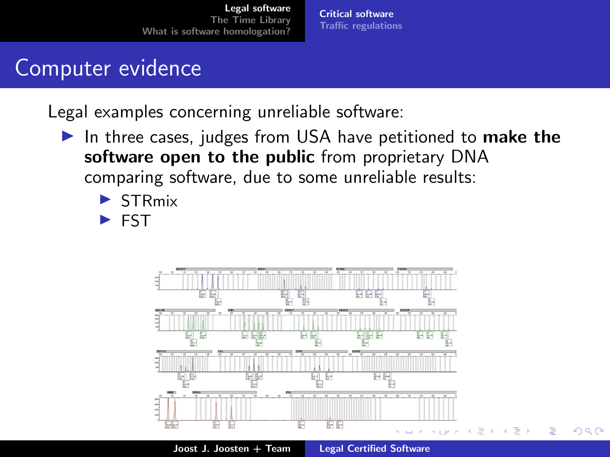[Critical software](#page-5-0) [Traffic regulations](#page-9-0)

## Computer evidence

Legal examples concerning unreliable software:

- ▶ In three cases, judges from USA have petitioned to make the software open to the public from proprietary DNA comparing software, due to some unreliable results:
	- ▶ STRmix
	- ▶ FST



Joost J. Joosten + Team [Legal Certified Software](#page-0-0)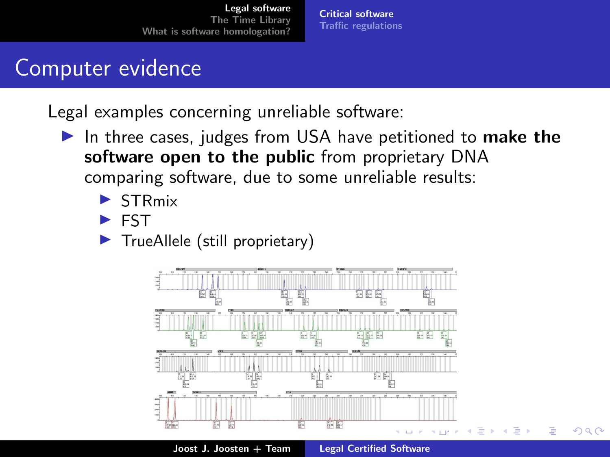[Critical software](#page-2-0) [Traffic regulations](#page-9-0)

## <span id="page-5-0"></span>Computer evidence

Legal examples concerning unreliable software:

- ▶ In three cases, judges from USA have petitioned to make the software open to the public from proprietary DNA comparing software, due to some unreliable results:
	- **STRmix**
	- ▶ FST
	- ▶ TrueAllele (still proprietary)



Joost J. Joosten + Team [Legal Certified Software](#page-0-0)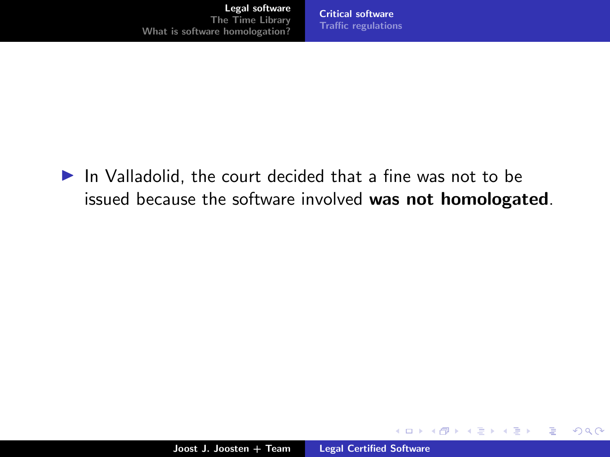▶ In Valladolid, the court decided that a fine was not to be issued because the software involved was not homologated.

メロメ メ御 メメ ミメメ ミメー

重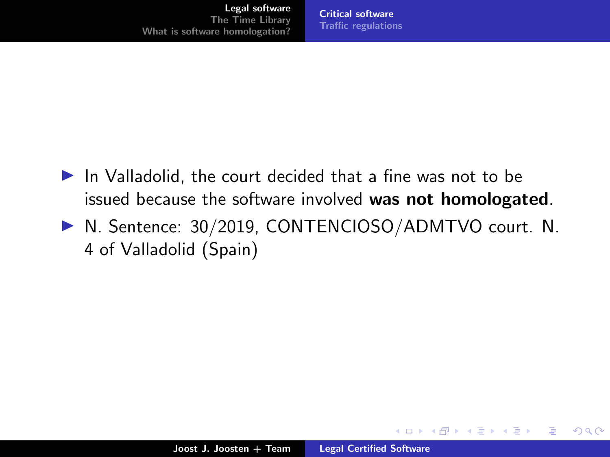- ▶ In Valladolid, the court decided that a fine was not to be issued because the software involved was not homologated.
- ▶ N. Sentence: 30/2019, CONTENCIOSO/ADMTVO court. N. 4 of Valladolid (Spain)

 $2Q$ 

∍

イロト イ団 トイラト イラト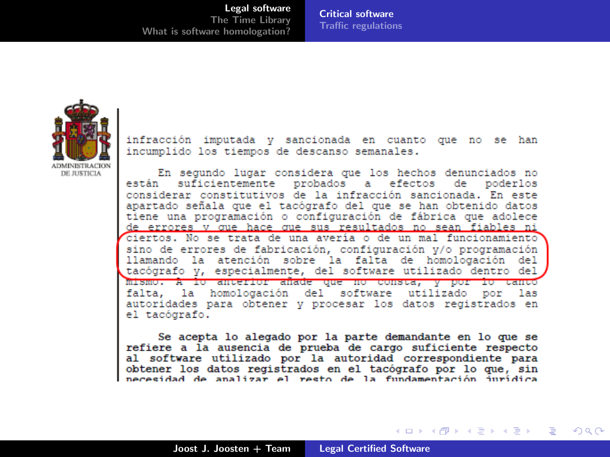[Critical software](#page-2-0) [Traffic regulations](#page-9-0)

<span id="page-8-0"></span>

infracción imputada y sancionada en cuanto que no se han incumplido los tiempos de descanso semanales.

En segundo lugar considera que los hechos denunciados no suficientemente probados a efectos de poderlos están considerar constitutivos de la infracción sancionada. En este apartado señala que el tacógrafo del que se han obtenido datos tiene una programación o configuración de fábrica que adolece de errores v que hace que sus resultados no sean fiables ni ciertos. No se trata de una avería o de un mal funcionamiento sino de errores de fabricación, configuración v/o programación llamando la atención sobre la falta de homologación del tacógrafo v, especialmente, del software utilizado dentro del mismo. A lo anterior añade que no consta, y por lo tanto falta, la homologación del software utilizado por las autoridades para obtener y procesar los datos registrados en el tacógrafo.

Se acepta lo alegado por la parte demandante en lo que se refiere a la ausencia de prueba de cargo suficiente respecto al software utilizado por la autoridad correspondiente para obtener los datos registrados en el tacógrafo por lo que, sin  $\frac{1}{2}$  necessidad de analizar el resto de la fundamentación jurídica

メロメ メ御 メメ ミメメ ミメー

 $\Omega$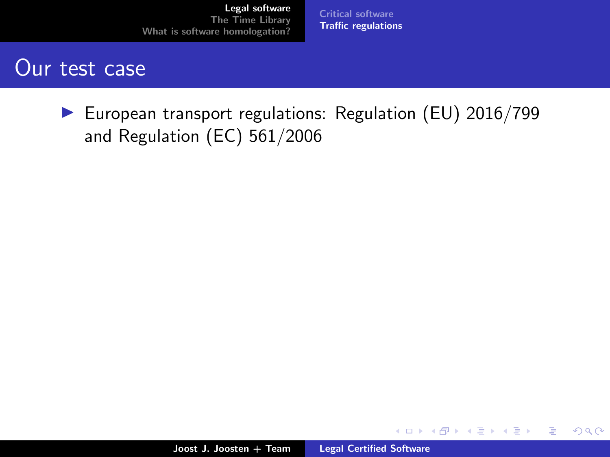[Critical software](#page-2-0) [Traffic regulations](#page-20-0)

### <span id="page-9-0"></span>Our test case

▶ European transport regulations: Regulation (EU) 2016/799 and Regulation (EC) 561/2006

メロメ メタメ メミメ メミメ

重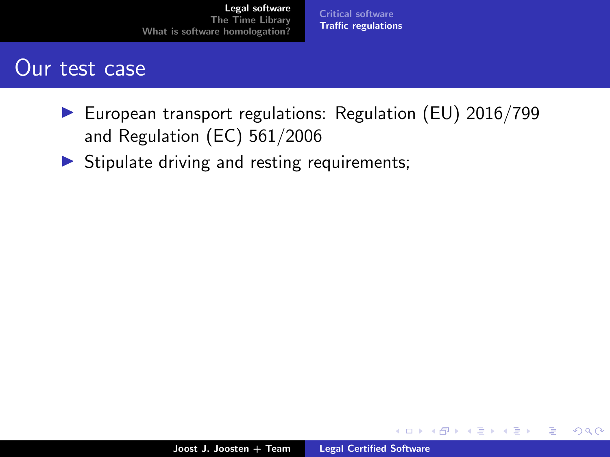[Critical software](#page-2-0) [Traffic regulations](#page-20-0)

### Our test case

- ▶ European transport regulations: Regulation (EU) 2016/799 and Regulation (EC) 561/2006
- $\triangleright$  Stipulate driving and resting requirements;

メロト メタト メミト メミト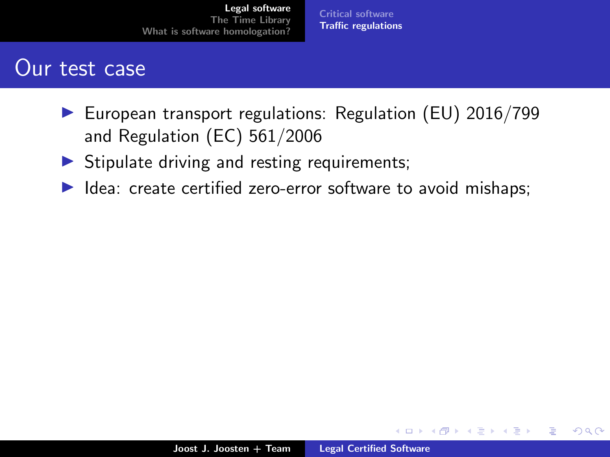[Critical software](#page-2-0) [Traffic regulations](#page-20-0)

### Our test case

- ▶ European transport regulations: Regulation (EU) 2016/799 and Regulation (EC) 561/2006
- $\triangleright$  Stipulate driving and resting requirements;
- ▶ Idea: create certified zero-error software to avoid mishaps;

4. 0. 3.

 $\overline{AB}$   $\overline{B}$   $\overline{C}$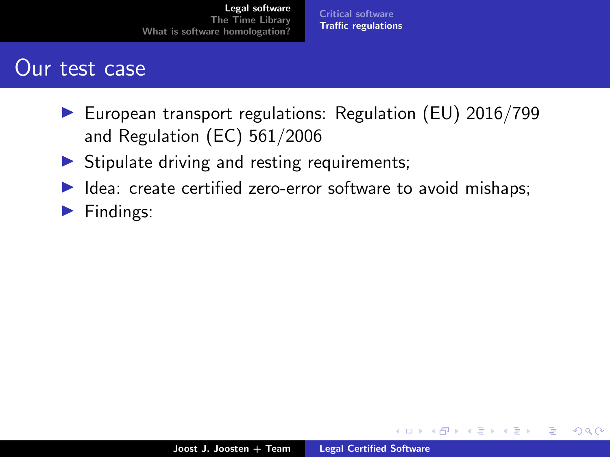[Critical software](#page-2-0) [Traffic regulations](#page-20-0)

### Our test case

- ▶ European transport regulations: Regulation (EU) 2016/799 and Regulation (EC) 561/2006
- $\triangleright$  Stipulate driving and resting requirements;
- ▶ Idea: create certified zero-error software to avoid mishaps;
- ▶ Findings:

イロト イ押 トイモト

メミト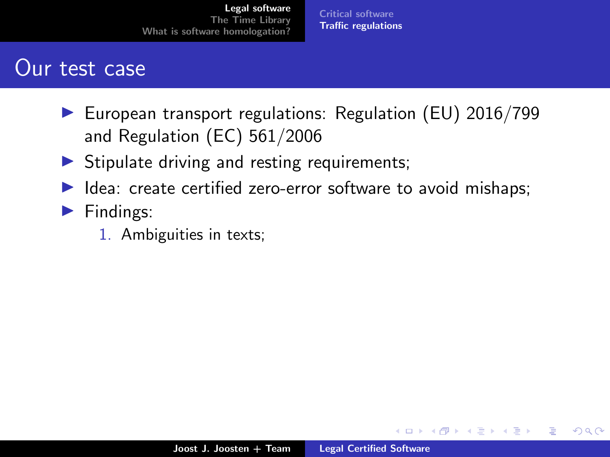[Critical software](#page-2-0) [Traffic regulations](#page-20-0)

### Our test case

- ▶ European transport regulations: Regulation (EU) 2016/799 and Regulation (EC) 561/2006
- $\triangleright$  Stipulate driving and resting requirements;
- ▶ Idea: create certified zero-error software to avoid mishaps;
- ▶ Findings:
	- 1. Ambiguities in texts;

4 0 8 1

→ 桐 → → 手 →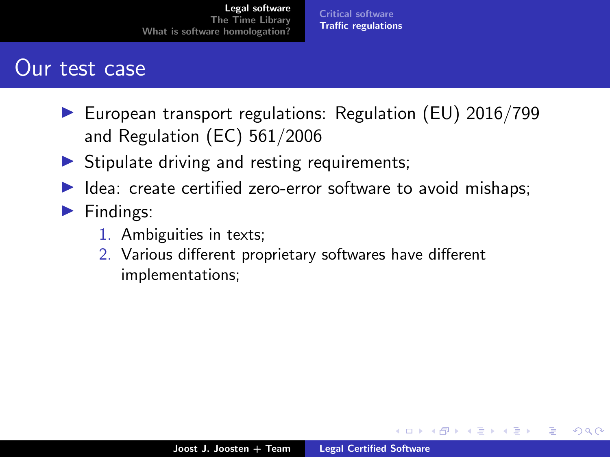[Critical software](#page-2-0) [Traffic regulations](#page-20-0)

### Our test case

- ▶ European transport regulations: Regulation (EU) 2016/799 and Regulation (EC) 561/2006
- $\triangleright$  Stipulate driving and resting requirements;
- ▶ Idea: create certified zero-error software to avoid mishaps;
- ▶ Findings:
	- 1. Ambiguities in texts;
	- 2. Various different proprietary softwares have different implementations;

(□ ) (@ ) ( E )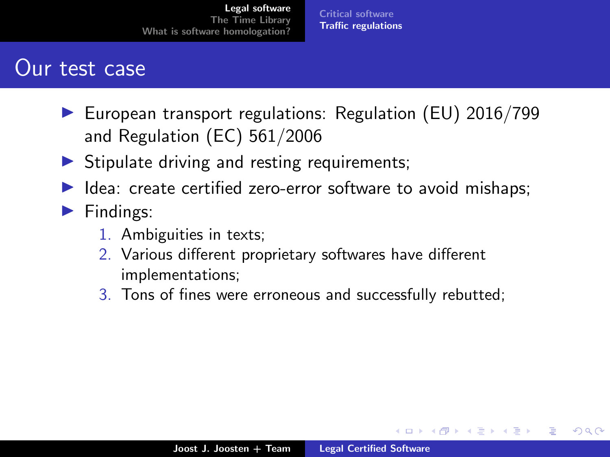[Critical software](#page-2-0) [Traffic regulations](#page-20-0)

### Our test case

- ▶ European transport regulations: Regulation (EU) 2016/799 and Regulation (EC) 561/2006
- $\triangleright$  Stipulate driving and resting requirements;
- ▶ Idea: create certified zero-error software to avoid mishaps;
- ▶ Findings:
	- 1. Ambiguities in texts;
	- 2. Various different proprietary softwares have different implementations;
	- 3. Tons of fines were erroneous and successfully rebutted;

 $\overline{AB}$   $\overline{B}$   $\overline{C}$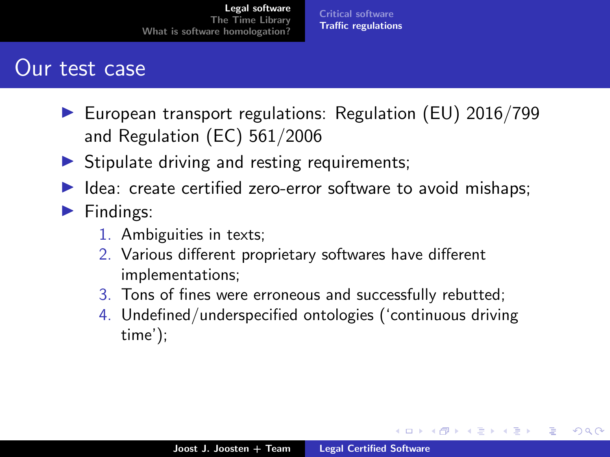[Critical software](#page-2-0) [Traffic regulations](#page-20-0)

### Our test case

- ▶ European transport regulations: Regulation (EU) 2016/799 and Regulation (EC) 561/2006
- $\triangleright$  Stipulate driving and resting requirements;
- ▶ Idea: create certified zero-error software to avoid mishaps;
- ▶ Findings:
	- 1. Ambiguities in texts;
	- 2. Various different proprietary softwares have different implementations;
	- 3. Tons of fines were erroneous and successfully rebutted;
	- 4. Undefined/underspecified ontologies ('continuous driving time');

メロト メタト メミト メミト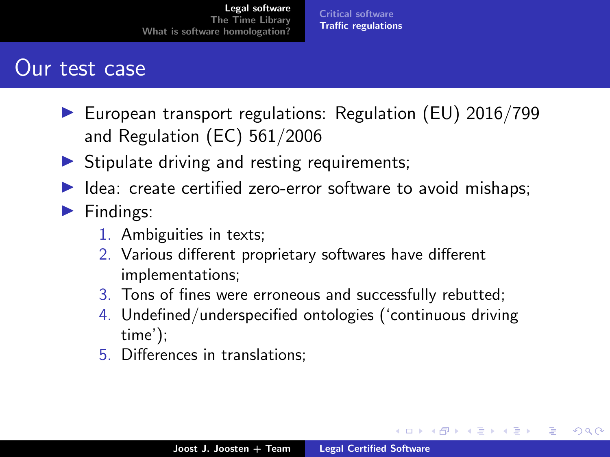[Critical software](#page-2-0) [Traffic regulations](#page-20-0)

### Our test case

- ▶ European transport regulations: Regulation (EU) 2016/799 and Regulation (EC) 561/2006
- $\triangleright$  Stipulate driving and resting requirements;
- ▶ Idea: create certified zero-error software to avoid mishaps;

#### ▶ Findings:

- 1. Ambiguities in texts;
- 2. Various different proprietary softwares have different implementations;
- 3. Tons of fines were erroneous and successfully rebutted;
- 4. Undefined/underspecified ontologies ('continuous driving time');
- 5. Differences in translations;

メロト メタト メミト メミト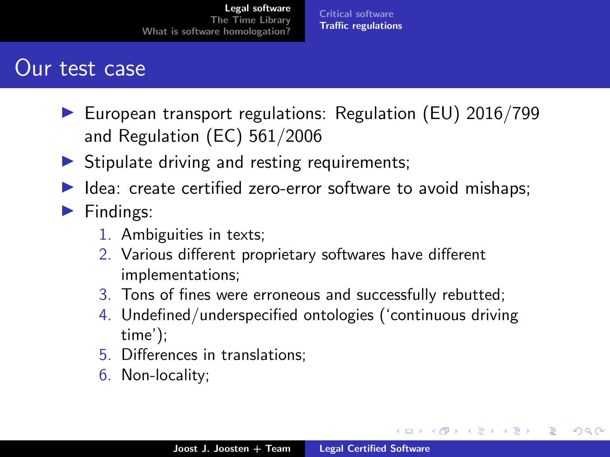[Critical software](#page-2-0) [Traffic regulations](#page-20-0)

### Our test case

- ▶ European transport regulations: Regulation (EU) 2016/799 and Regulation (EC) 561/2006
- $\triangleright$  Stipulate driving and resting requirements;
- ▶ Idea: create certified zero-error software to avoid mishaps;

#### ▶ Findings:

- 1. Ambiguities in texts;
- 2. Various different proprietary softwares have different implementations;
- 3. Tons of fines were erroneous and successfully rebutted;
- 4. Undefined/underspecified ontologies ('continuous driving time');
- 5. Differences in translations;
- 6. Non-locality;

メロト メタト メミト メミト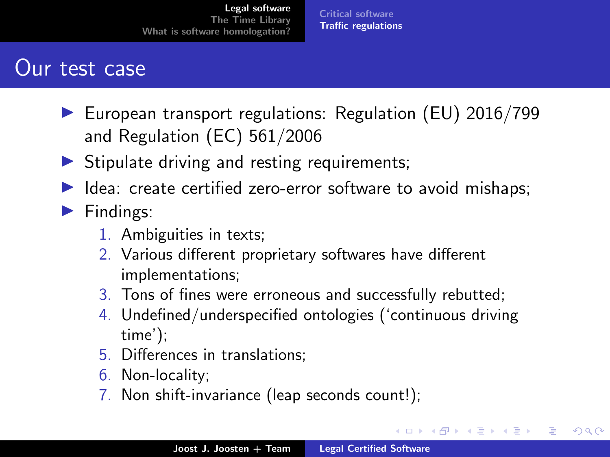[Critical software](#page-2-0) [Traffic regulations](#page-20-0)

### <span id="page-19-0"></span>Our test case

- ▶ European transport regulations: Regulation (EU) 2016/799 and Regulation (EC) 561/2006
- $\triangleright$  Stipulate driving and resting requirements;
- ▶ Idea: create certified zero-error software to avoid mishaps;

#### ▶ Findings:

- 1. Ambiguities in texts;
- 2. Various different proprietary softwares have different implementations;
- 3. Tons of fines were erroneous and successfully rebutted;
- 4. Undefined/underspecified ontologies ('continuous driving time');
- 5. Differences in translations;
- 6. Non-locality;
- 7. Non shift-invariance (leap seconds count!);

**K ロ ▶ K 御 ▶ K ヨ ▶**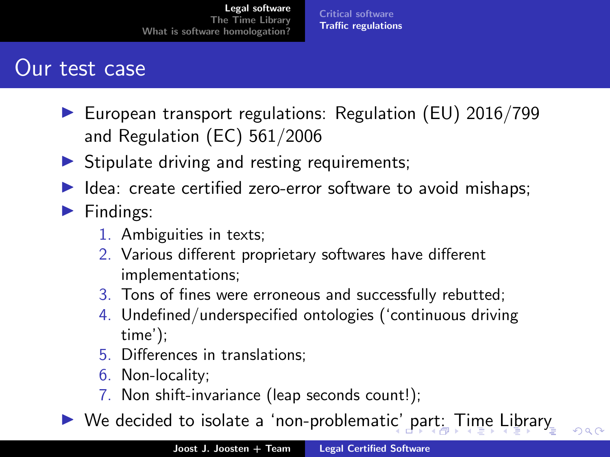[Critical software](#page-2-0) [Traffic regulations](#page-9-0)

### <span id="page-20-0"></span>Our test case

- ▶ European transport regulations: Regulation (EU) 2016/799 and Regulation (EC) 561/2006
- $\triangleright$  Stipulate driving and resting requirements;
- ▶ Idea: create certified zero-error software to avoid mishaps;

#### ▶ Findings:

- 1. Ambiguities in texts;
- 2. Various different proprietary softwares have different implementations;
- 3. Tons of fines were erroneous and successfully rebutted;
- 4. Undefined/underspecified ontologies ('continuous driving time');
- 5. Differences in translations;
- 6. Non-locality;
- 7. Non shift-invariance (leap seconds count!);
- $\triangleright$  $\triangleright$  $\triangleright$  $\triangleright$  $\triangleright$  We decided to isolate a 'non-problemat[ic'](#page-19-0) [pa](#page-21-0)[rt](#page-8-0)[:](#page-9-0)[T](#page-21-0)i[m](#page-9-0)e [L](#page-0-0)i[b](#page-20-0)[ra](#page-21-0)[ry](#page-0-0)

 $000$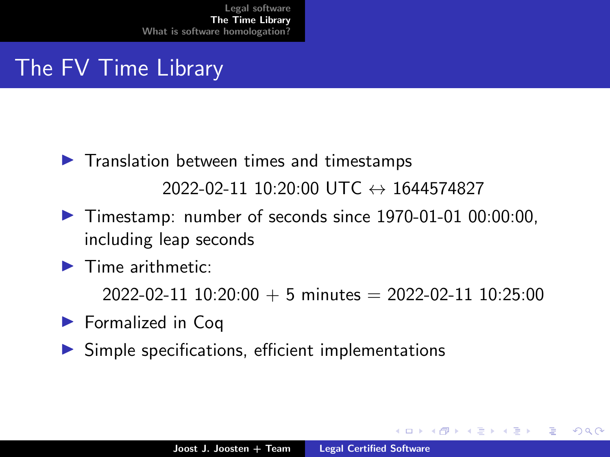## <span id="page-21-0"></span>The FV Time Library

- ▶ Translation between times and timestamps  $2022-02-11$  10:20:00 UTC  $\leftrightarrow$  1644574827
- ▶ Timestamp: number of seconds since 1970-01-01 00:00:00, including leap seconds
- $\blacktriangleright$  Time arithmetic:

 $2022 - 02 - 11$  10:20:00 + 5 minutes = 2022-02-11 10:25:00

- ▶ Formalized in Coq
- $\triangleright$  Simple specifications, efficient implementations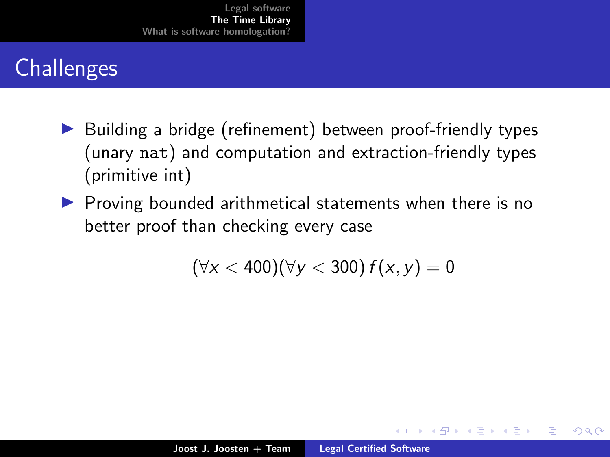# **Challenges**

- ▶ Building a bridge (refinement) between proof-friendly types (unary nat) and computation and extraction-friendly types (primitive int)
- ▶ Proving bounded arithmetical statements when there is no better proof than checking every case

$$
(\forall x < 400)(\forall y < 300) f(x, y) = 0
$$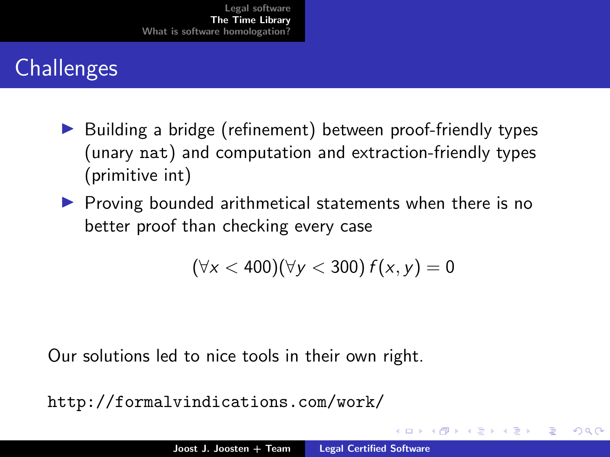# <span id="page-23-0"></span>**Challenges**

- ▶ Building a bridge (refinement) between proof-friendly types (unary nat) and computation and extraction-friendly types (primitive int)
- ▶ Proving bounded arithmetical statements when there is no better proof than checking every case

$$
(\forall x < 400)(\forall y < 300) f(x, y) = 0
$$

Our solutions led to nice tools in their own right.

```
http://formalvindications.com/work/
```
 $\Omega$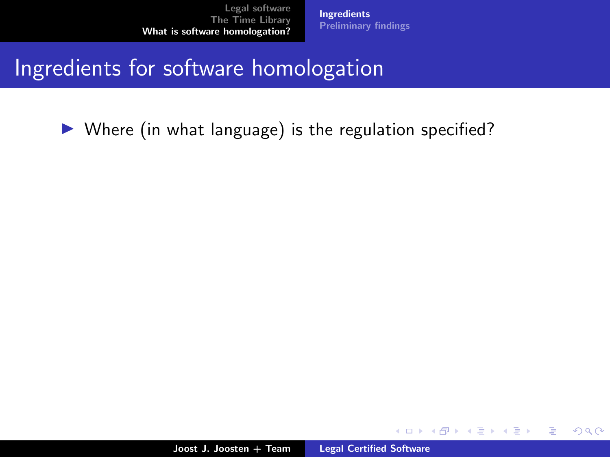[Ingredients](#page-34-0) [Preliminary findings](#page-35-0)

## <span id="page-24-0"></span>Ingredients for software homologation

▶ Where (in what language) is the regulation specified?

メロト メタト メミト メミト

 $2Q$ 

∍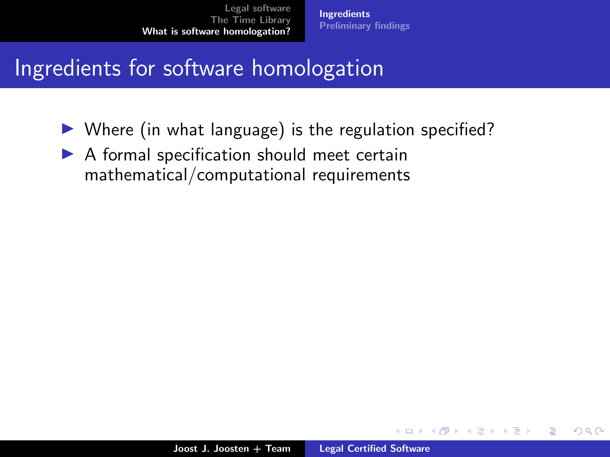[Ingredients](#page-34-0) [Preliminary findings](#page-35-0)

## Ingredients for software homologation

- ▶ Where (in what language) is the regulation specified?
- $\triangleright$  A formal specification should meet certain mathematical/computational requirements

4 0 8

オター・エー・エー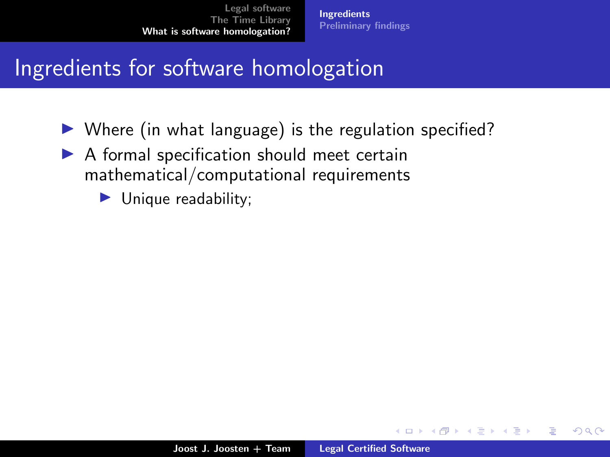[Ingredients](#page-34-0) [Preliminary findings](#page-35-0)

## Ingredients for software homologation

- ▶ Where (in what language) is the regulation specified?
- ▶ A formal specification should meet certain mathematical/computational requirements
	- ▶ Unique readability;

K 御 ▶ K 唐 ▶ K 唐 ▶

4 0 1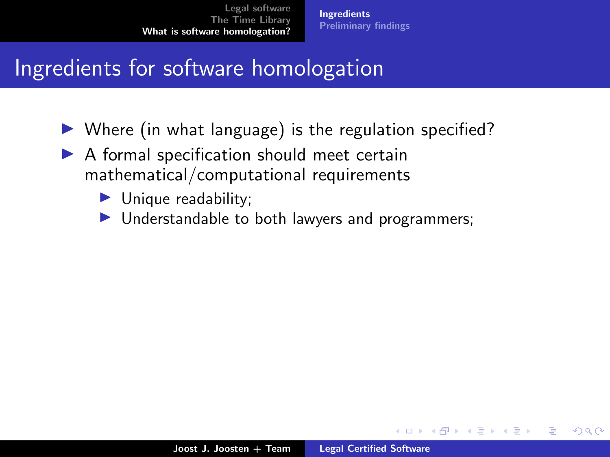[Ingredients](#page-34-0) [Preliminary findings](#page-35-0)

## Ingredients for software homologation

- ▶ Where (in what language) is the regulation specified?
- ▶ A formal specification should meet certain mathematical/computational requirements
	- ▶ Unique readability;
	- ▶ Understandable to both lawyers and programmers;

 $\mathcal{A}$   $\overline{\mathcal{B}}$   $\mathcal{B}$   $\mathcal{A}$   $\mathcal{B}$   $\mathcal{B}$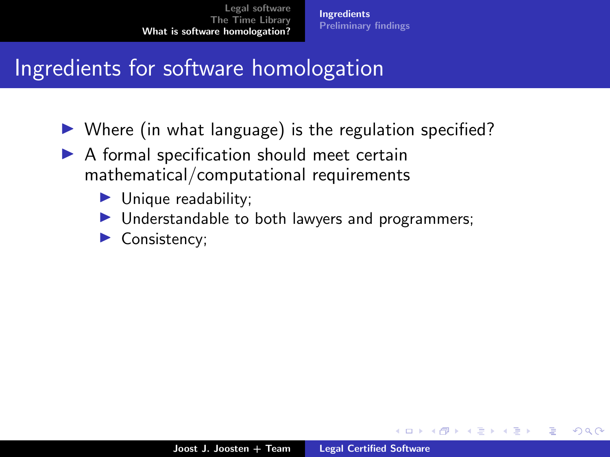[Ingredients](#page-34-0) [Preliminary findings](#page-35-0)

## Ingredients for software homologation

- ▶ Where (in what language) is the regulation specified?
- ▶ A formal specification should meet certain mathematical/computational requirements
	- ▶ Unique readability;
	- ▶ Understandable to both lawyers and programmers;
	- Consistency;

オター・エー・エー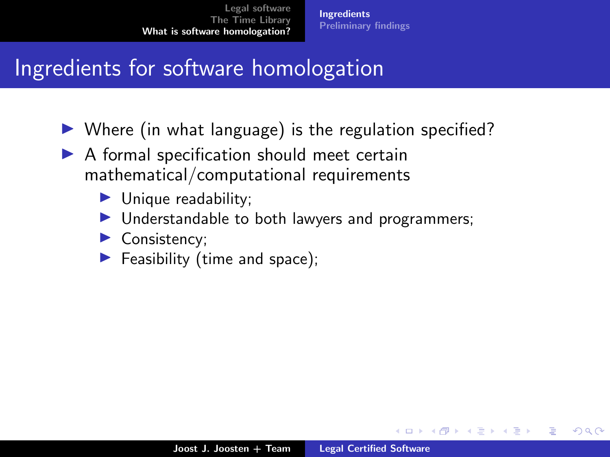## Ingredients for software homologation

- ▶ Where (in what language) is the regulation specified?
- ▶ A formal specification should meet certain mathematical/computational requirements
	- ▶ Unique readability;
	- ▶ Understandable to both lawyers and programmers;
	- ▶ Consistency;
	- $\blacktriangleright$  Feasibility (time and space);

オター・エー・エー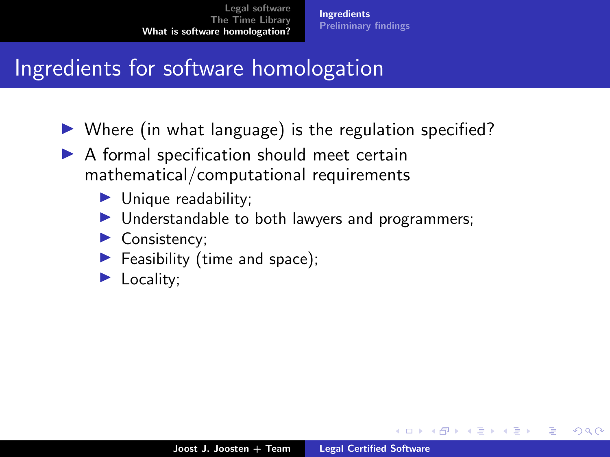[Ingredients](#page-34-0) [Preliminary findings](#page-35-0)

## Ingredients for software homologation

- ▶ Where (in what language) is the regulation specified?
- ▶ A formal specification should meet certain mathematical/computational requirements
	- ▶ Unique readability;
	- ▶ Understandable to both lawyers and programmers;
	- ▶ Consistency;
	- $\blacktriangleright$  Feasibility (time and space);
	- Locality;

∢ 伊 ▶ ∢ ヨ ▶ ∢ ヨ ▶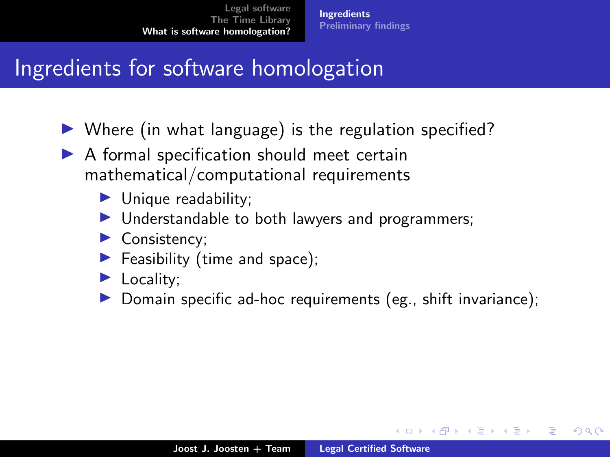## Ingredients for software homologation

- ▶ Where (in what language) is the regulation specified?
- ▶ A formal specification should meet certain mathematical/computational requirements
	- ▶ Unique readability;
	- ▶ Understandable to both lawyers and programmers;
	- ▶ Consistency;
	- $\blacktriangleright$  Feasibility (time and space);
	- ▶ Locality;
	- Domain specific ad-hoc requirements (eg., shift invariance);

マーティ ミトマ ミト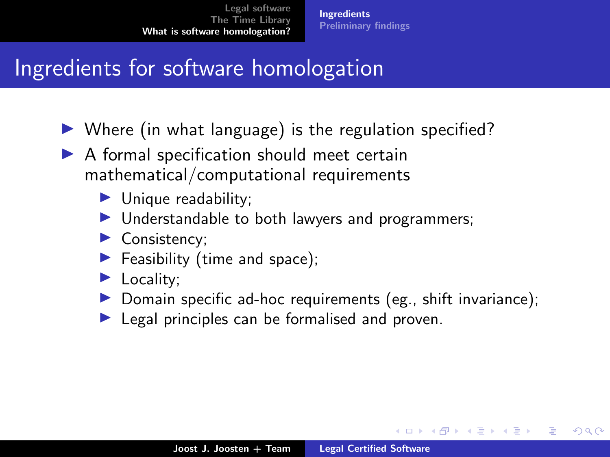## Ingredients for software homologation

- ▶ Where (in what language) is the regulation specified?
- ▶ A formal specification should meet certain mathematical/computational requirements
	- ▶ Unique readability;
	- ▶ Understandable to both lawyers and programmers;
	- ▶ Consistency;
	- $\blacktriangleright$  Feasibility (time and space);
	- ▶ Locality;
	- $\triangleright$  Domain specific ad-hoc requirements (eg., shift invariance);
	- ▶ Legal principles can be formalised and proven.

マーティ ミトマ ミト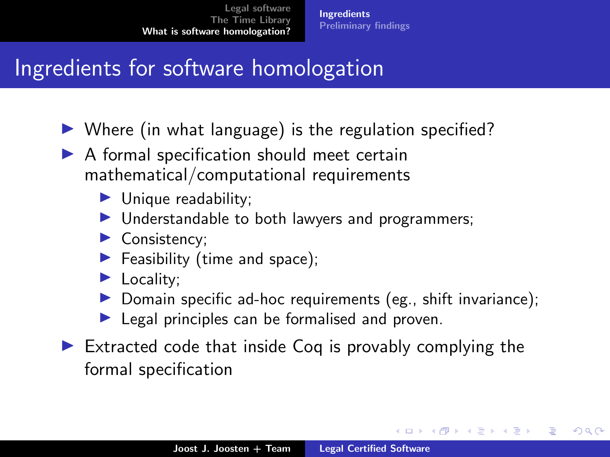# Ingredients for software homologation

- ▶ Where (in what language) is the regulation specified?
- ▶ A formal specification should meet certain mathematical/computational requirements
	- ▶ Unique readability;
	- ▶ Understandable to both lawyers and programmers;
	- ▶ Consistency;
	- $\blacktriangleright$  Feasibility (time and space);
	- ▶ Locality;
	- $\triangleright$  Domain specific ad-hoc requirements (eg., shift invariance);
	- $\blacktriangleright$  Legal principles can be formalised and proven.
- $\triangleright$  Extracted code that inside Coq is provably complying the formal specification

メロト メタト メミト メミト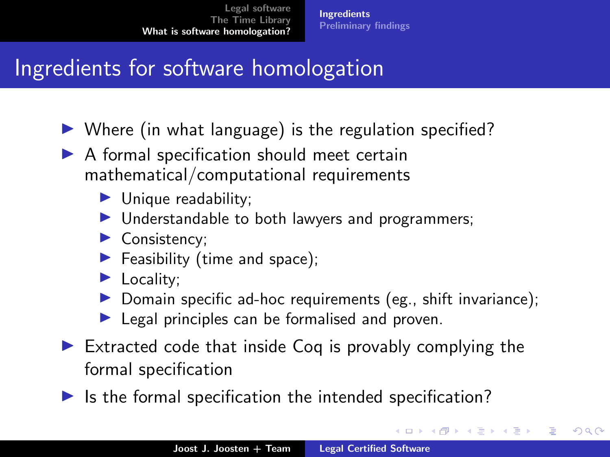# <span id="page-34-0"></span>Ingredients for software homologation

- ▶ Where (in what language) is the regulation specified?
- ▶ A formal specification should meet certain mathematical/computational requirements
	- ▶ Unique readability;
	- ▶ Understandable to both lawyers and programmers;
	- ▶ Consistency;
	- $\blacktriangleright$  Feasibility (time and space);
	- ▶ Locality;
	- $\triangleright$  Domain specific ad-hoc requirements (eg., shift invariance);
	- $\blacktriangleright$  Legal principles can be formalised and proven.
- $\triangleright$  Extracted code that inside Coq is provably complying the formal specification
- $\blacktriangleright$  Is the formal specification the intended specification?

∢ロ ▶ ∢ 御 ▶ ∢ 后 ▶ ∢ 后 ▶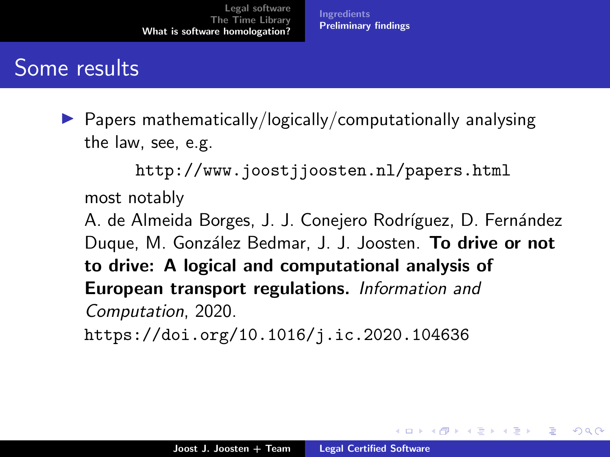[Ingredients](#page-24-0) [Preliminary findings](#page-37-0)

## <span id="page-35-0"></span>Some results

 $\triangleright$  Papers mathematically/logically/computationally analysing the law, see, e.g.

<http://www.joostjjoosten.nl/papers.html> most notably

A. de Almeida Borges, J. J. Conejero Rodríguez, D. Fernández Duque, M. González Bedmar, J. J. Joosten. To drive or not to drive: A logical and computational analysis of European transport regulations. Information and Computation, 2020.

<https://doi.org/10.1016/j.ic.2020.104636>

メロト メタト メミト メミト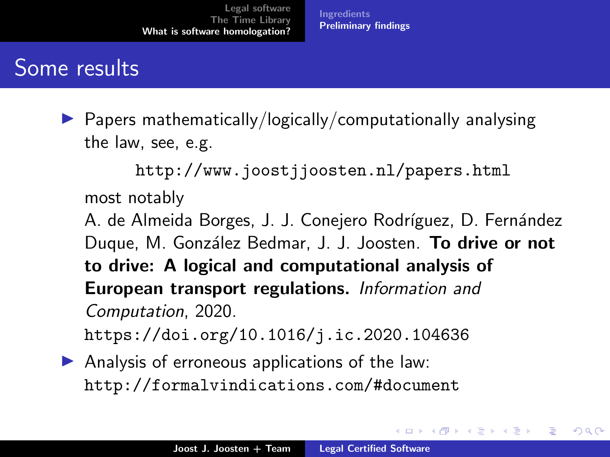[Ingredients](#page-24-0) [Preliminary findings](#page-37-0)

## Some results

 $\triangleright$  Papers mathematically/logically/computationally analysing the law, see, e.g.

<http://www.joostjjoosten.nl/papers.html> most notably

A. de Almeida Borges, J. J. Conejero Rodríguez, D. Fernández Duque, M. González Bedmar, J. J. Joosten. To drive or not to drive: A logical and computational analysis of European transport regulations. Information and Computation, 2020.

<https://doi.org/10.1016/j.ic.2020.104636>

 $\blacktriangleright$  Analysis of erroneous applications of the law: <http://formalvindications.com/#document>

メロト メタト メミト メミト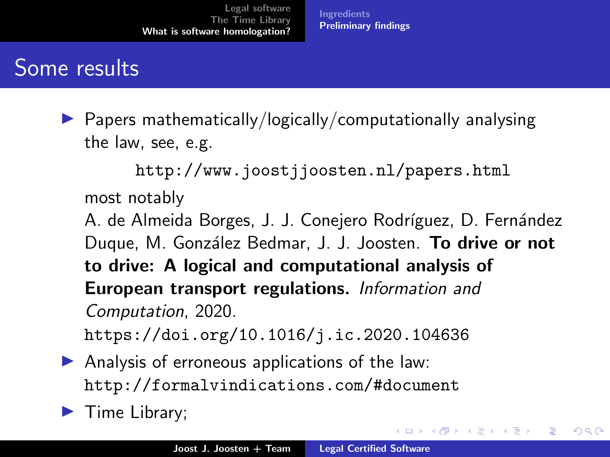[Ingredients](#page-24-0) [Preliminary findings](#page-35-0)

## <span id="page-37-0"></span>Some results

 $\triangleright$  Papers mathematically/logically/computationally analysing the law, see, e.g.

<http://www.joostjjoosten.nl/papers.html> most notably

A. de Almeida Borges, J. J. Conejero Rodríguez, D. Fernández Duque, M. González Bedmar, J. J. Joosten. To drive or not to drive: A logical and computational analysis of European transport regulations. Information and Computation, 2020.

<https://doi.org/10.1016/j.ic.2020.104636>

 $\blacktriangleright$  Analysis of erroneous applications of the law: <http://formalvindications.com/#document>

▶ Time Library;

メロメ メ御 メメ ミメメ ミメ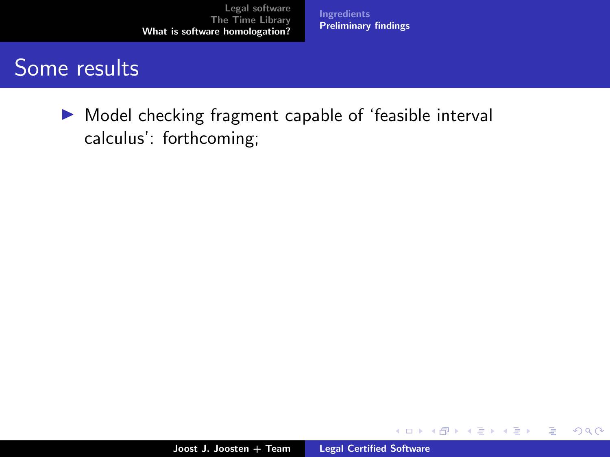**[Ingredients](#page-24-0)** [Preliminary findings](#page-35-0)

## <span id="page-38-0"></span>Some results

▶ Model checking fragment capable of 'feasible interval calculus': forthcoming;

**K ロ ▶ K 御 ▶ K 君 ▶ K 君 ▶** 

重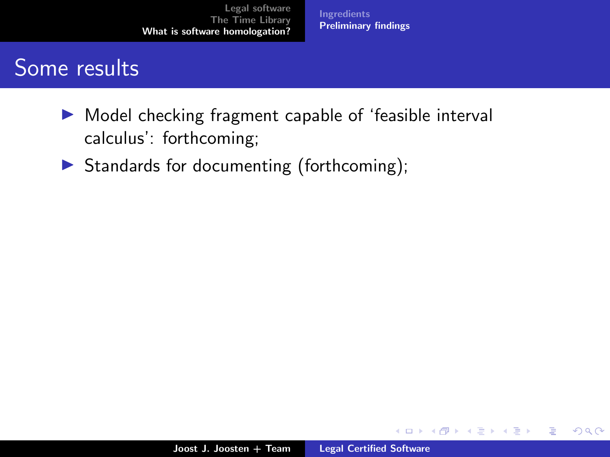[Ingredients](#page-24-0) [Preliminary findings](#page-35-0)

## Some results

- ▶ Model checking fragment capable of 'feasible interval calculus': forthcoming;
- ▶ Standards for documenting (forthcoming);

メロト メタト メミト メミト

 $2Q$ 

€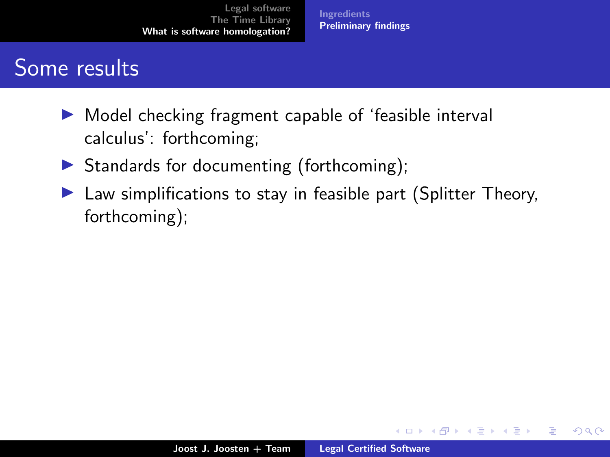**[Ingredients](#page-24-0)** [Preliminary findings](#page-35-0)

## Some results

- ▶ Model checking fragment capable of 'feasible interval calculus': forthcoming;
- $\triangleright$  Standards for documenting (forthcoming);
- ▶ Law simplifications to stay in feasible part (Splitter Theory, forthcoming);

メロト メタト メミト メミト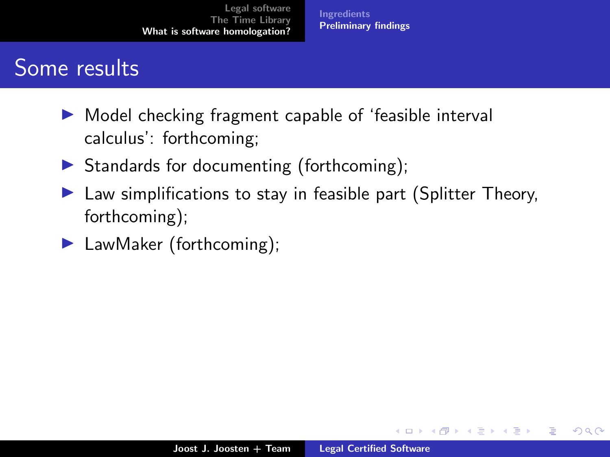**[Ingredients](#page-24-0)** [Preliminary findings](#page-35-0)

## Some results

- ▶ Model checking fragment capable of 'feasible interval calculus': forthcoming;
- $\triangleright$  Standards for documenting (forthcoming);
- ▶ Law simplifications to stay in feasible part (Splitter Theory, forthcoming);
- ▶ LawMaker (forthcoming);

 $\leftarrow$   $\Box$ 

M 御 ▶ M 君 ▶ M 君 ▶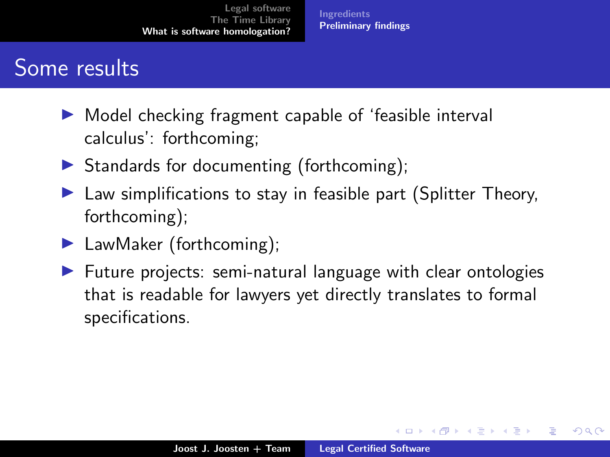**[Ingredients](#page-24-0)** [Preliminary findings](#page-35-0)

## Some results

- ▶ Model checking fragment capable of 'feasible interval calculus': forthcoming;
- $\triangleright$  Standards for documenting (forthcoming);
- ▶ Law simplifications to stay in feasible part (Splitter Theory, forthcoming);
- ▶ LawMaker (forthcoming);
- ▶ Future projects: semi-natural language with clear ontologies that is readable for lawyers yet directly translates to formal specifications.

マーティ ミトマ ミト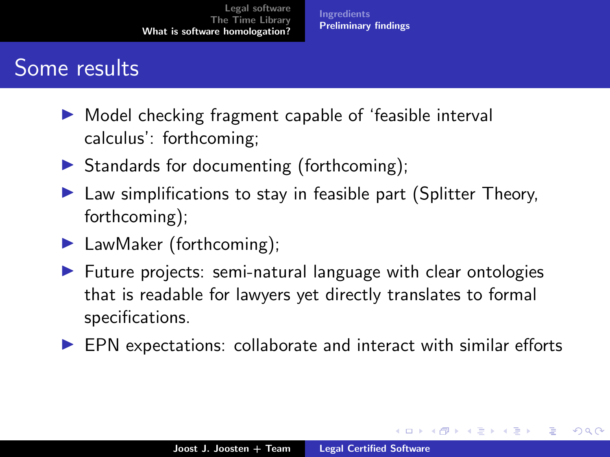**[Ingredients](#page-24-0)** [Preliminary findings](#page-35-0)

## <span id="page-43-0"></span>Some results

- ▶ Model checking fragment capable of 'feasible interval calculus': forthcoming;
- $\triangleright$  Standards for documenting (forthcoming);
- ▶ Law simplifications to stay in feasible part (Splitter Theory, forthcoming);
- ▶ LawMaker (forthcoming);
- ▶ Future projects: semi-natural language with clear ontologies that is readable for lawyers yet directly translates to formal specifications.
- ▶ EPN expectations: collaborate and interact with similar efforts

 $\mathcal{A}$  and  $\mathcal{A}$  . In the set of  $\mathbb{R}^n$  is